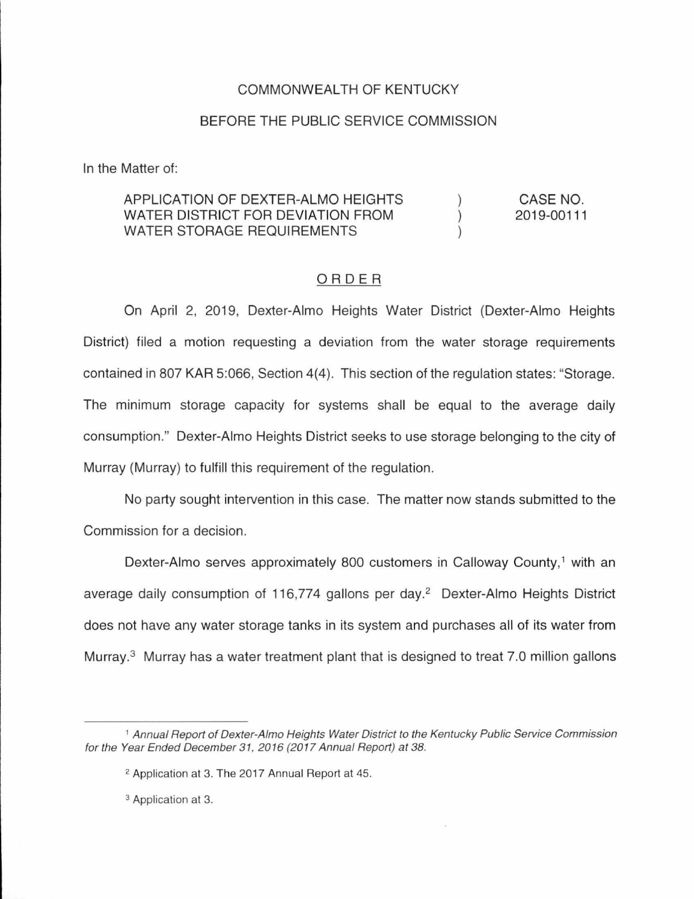## COMMONWEALTH OF KENTUCKY

## BEFORE THE PUBLIC SERVICE COMMISSION

In the Matter of:

## APPLICATION OF DEXTER-ALMO HEIGHTS CASE NO. WATER DISTRICT FOR DEVIATION FROM  $\lambda$ 2019-00111 WATER STORAGE REQUIREMENTS

## ORDER

On April 2, 2019, Dexter-Almo Heights Water District (Dexter-Almo Heights District) filed a motion requesting a deviation from the water storage requirements contained in 807 KAR 5:066, Section 4(4). This section of the regulation states: "Storage. The minimum storage capacity for systems shall be equal to the average daily consumption." Dexter-Almo Heights District seeks to use storage belonging to the city of Murray (Murray) to fulfill this requirement of the regulation.

No party sought intervention in this case. The matter now stands submitted to the Commission for a decision.

Dexter-Almo serves approximately 800 customers in Calloway County,<sup>1</sup> with an average daily consumption of 116,774 gallons per day.<sup>2</sup> Dexter-Almo Heights District does not have any water storage tanks in its system and purchases all of its water from Murray. $3$  Murray has a water treatment plant that is designed to treat 7.0 million gallons

<sup>1</sup>Annual Report of Dexter-A/mo Heights Water District to the Kentucky Public Service Commission for the Year Ended December 31, 2016 (2017 Annual Report) at 38.

<sup>2</sup> Application at 3. The 2017 Annual Report at 45.

<sup>3</sup> Application at 3.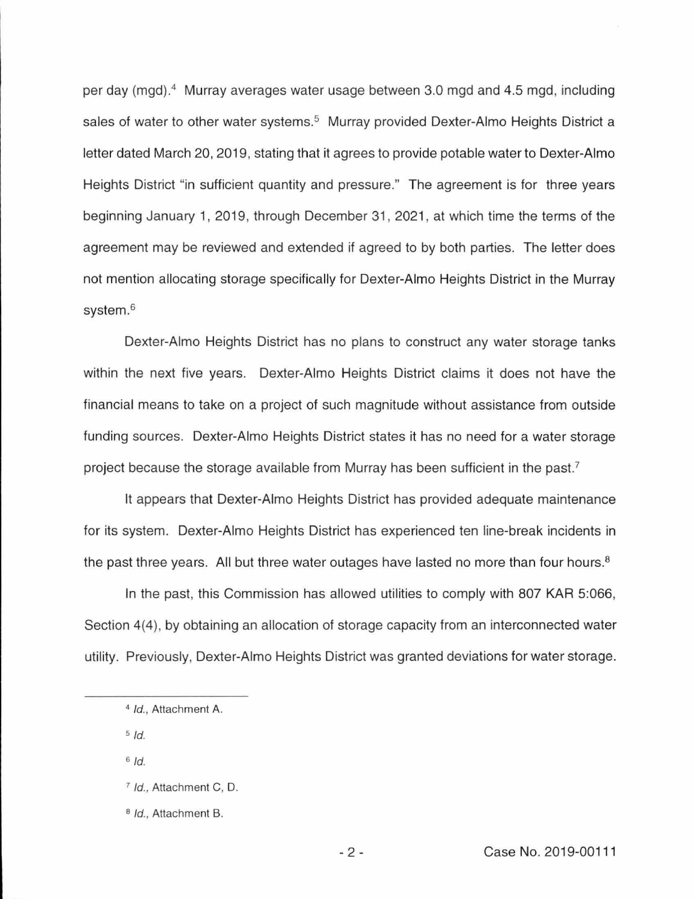per day (mgd).<sup>4</sup> Murray averages water usage between 3.0 mgd and 4.5 mgd, including sales of water to other water systems.<sup>5</sup> Murray provided Dexter-Almo Heights District a letter dated March 20, 2019, stating that it agrees to provide potable water to Dexter-Alme Heights District "in sufficient quantity and pressure." The agreement is for three years beginning January 1, 2019, through December 31 , 2021 , at which time the terms of the agreement may be reviewed and extended if agreed to by both parties. The letter does not mention allocating storage specifically for Dexter-Alme Heights District in the Murray system.<sup>6</sup>

Dexter-Alme Heights District has no plans to construct any water storage tanks within the next five years. Dexter-Alme Heights District claims it does not have the financial means to take on a project of such magnitude without assistance from outside funding sources. Dexter-Alme Heights District states it has no need for a water storage project because the storage available from Murray has been sufficient in the past.<sup>7</sup>

It appears that Dexter-Alme Heights District has provided adequate maintenance for its system. Dexter-Almo Heights District has experienced ten line-break incidents in the past three years. All but three water outages have lasted no more than four hours.<sup>8</sup>

In the past, this Commission has allowed utilities to comply with 807 KAR 5:066, Section 4(4), by obtaining an allocation of storage capacity from an interconnected water utility. Previously, Dexter-Alme Heights District was granted deviations for water storage.

 $5/d$ 

 $6$  Id.

<sup>&</sup>lt;sup>4</sup> Id., Attachment A.

<sup>7</sup>Id., Attachment C, D.

<sup>&</sup>lt;sup>8</sup> Id., Attachment B.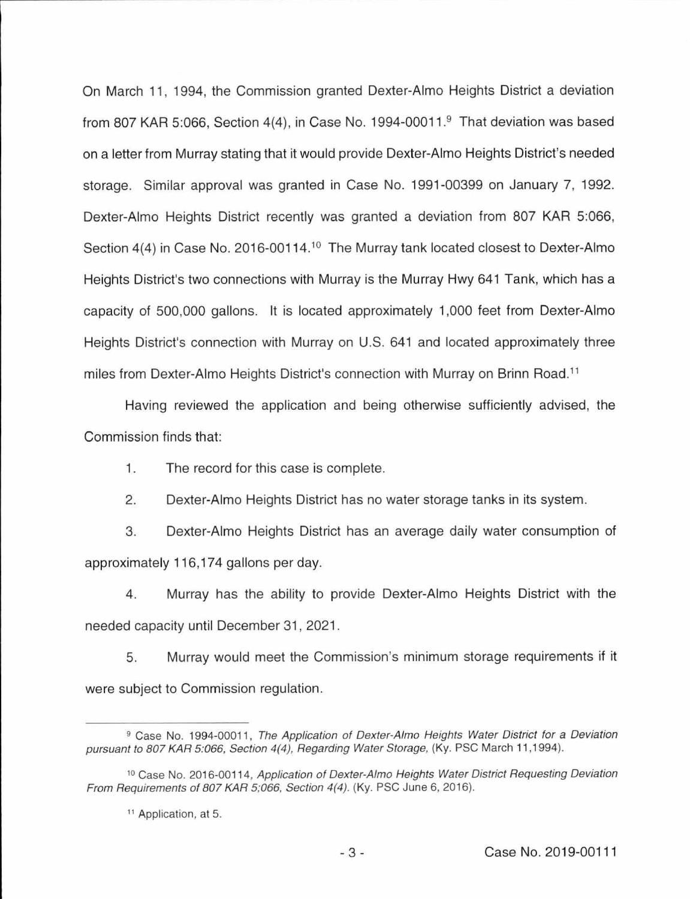On March 11, 1994, the Commission granted Dexter-Almo Heights District a deviation from 807 KAR 5:066, Section 4(4), in Case No. 1994-00011.9 That deviation was based on a letter from Murray stating that it would provide Dexter-Almo Heights District's needed storage. Similar approval was granted in Case No. 1991-00399 on January 7, 1992. Dexter-Almo Heights District recently was granted a deviation from 807 KAR 5:066, Section 4(4) in Case No. 2016-00114.<sup>10</sup> The Murray tank located closest to Dexter-Almo Heights District's two connections with Murray is the Murray Hwy 641 Tank, which has a capacity of 500,000 gallons. It is located approximately 1,000 feet from Dexter-Almo Heights District's connection with Murray on U.S. 641 and located approximately three miles from Dexter-Almo Heights District's connection with Murray on Brinn Road.<sup>11</sup>

Having reviewed the application and being otherwise sufficiently advised, the Commission finds that:

1. The record for this case is complete.

2. Dexter-Almo Heights District has no water storage tanks in its system.

3. Dexter-Almo Heights District has an average daily water consumption of approximately 116, 174 gallons per day.

4. Murray has the ability to provide Dexter-Almo Heights District with the needed capacity until December 31, 2021.

5. Murray would meet the Commission's minimum storage requirements if it were subject to Commission regulation.

<sup>&</sup>lt;sup>9</sup> Case No. 1994-00011, The Application of Dexter-Almo Heights Water District for a Deviation pursuant to 807 KAR 5:066, Section 4(4), Regarding Water Storage, (Ky. PSC March 11,1994).

<sup>&</sup>lt;sup>10</sup> Case No. 2016-00114, Application of Dexter-Almo Heights Water District Requesting Deviation From Requirements of 807 KAR 5;066, Section 4(4). (Ky. PSC June 6, 2016).

<sup>&</sup>lt;sup>11</sup> Application, at 5.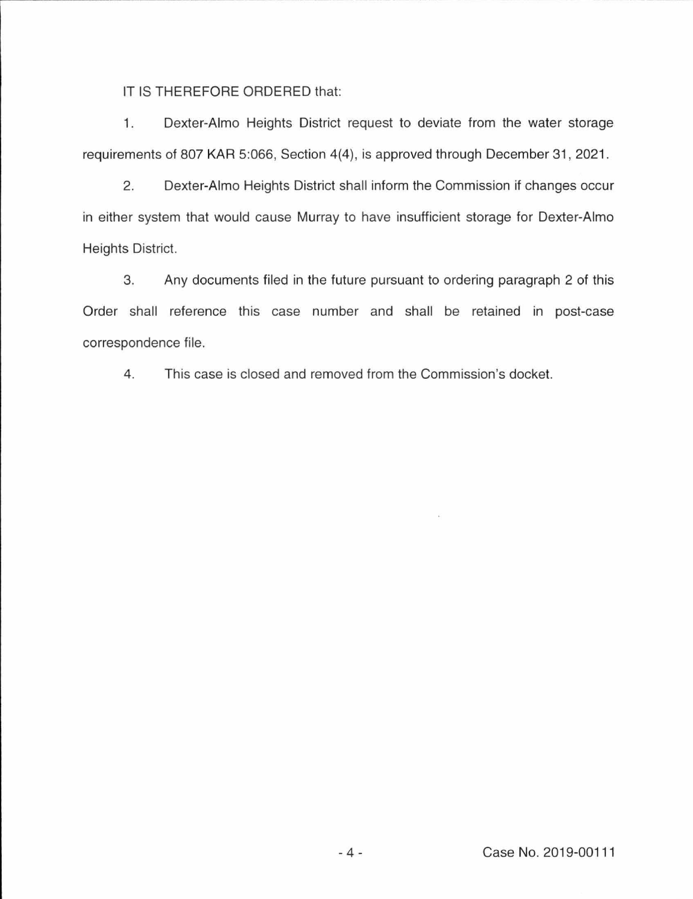IT IS THEREFORE ORDERED that:

1. Dexter-Alma Heights District request to deviate from the water storage requirements of 807 KAR 5:066, Section 4(4), is approved through December 31, 2021.

2. Dexter-Alma Heights District shall inform the Commission if changes occur in either system that would cause Murray to have insufficient storage for Dexter-Alma Heights District.

3. Any documents filed in the future pursuant to ordering paragraph 2 of this Order shall reference this case number and shall be retained in post-case correspondence file.

4. This case is closed and removed from the Commission's docket.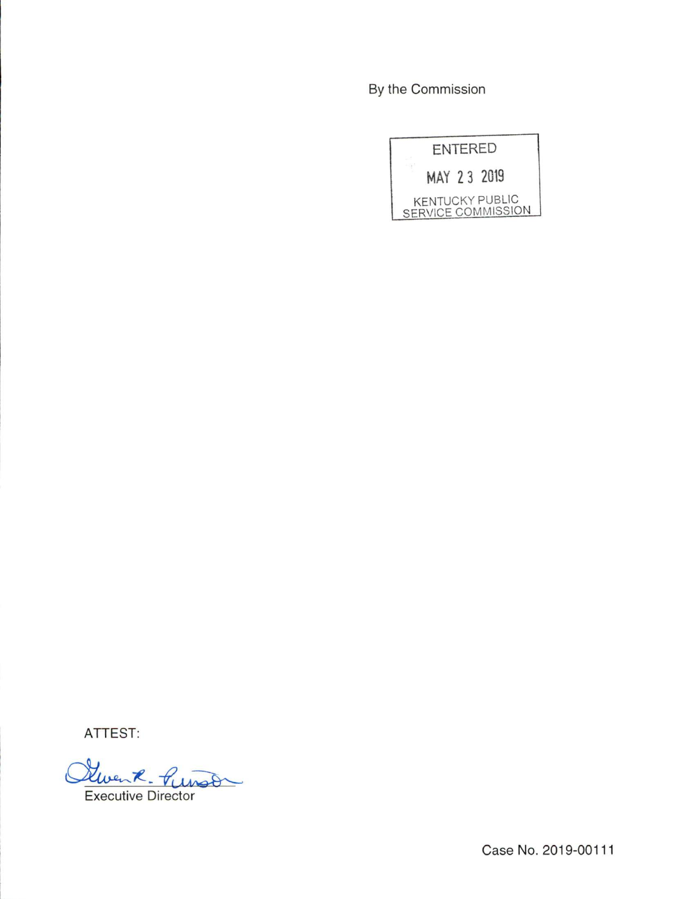By the Commission

| <b>ENTERED</b> |             |  |                                              |
|----------------|-------------|--|----------------------------------------------|
|                | MAY 23 2019 |  |                                              |
|                |             |  | <b>KENTUCKY PUBLIC</b><br>SERVICE COMMISSION |

ATTEST:<br>Oliven R. Punso Executive Director

Case No. 2019-00111